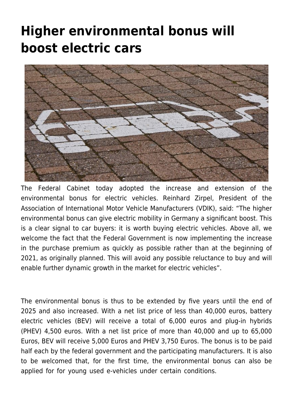## **[Higher environmental bonus will](https://www.vdik.de/en/2019/higher-environmental-bonus-will-boost-electric-cars/) [boost electric cars](https://www.vdik.de/en/2019/higher-environmental-bonus-will-boost-electric-cars/)**



The Federal Cabinet today adopted the increase and extension of the environmental bonus for electric vehicles. Reinhard Zirpel, President of the Association of International Motor Vehicle Manufacturers (VDIK), said: "The higher environmental bonus can give electric mobility in Germany a significant boost. This is a clear signal to car buyers: it is worth buying electric vehicles. Above all, we welcome the fact that the Federal Government is now implementing the increase in the purchase premium as quickly as possible rather than at the beginning of 2021, as originally planned. This will avoid any possible reluctance to buy and will enable further dynamic growth in the market for electric vehicles".

The environmental bonus is thus to be extended by five years until the end of 2025 and also increased. With a net list price of less than 40,000 euros, battery electric vehicles (BEV) will receive a total of 6,000 euros and plug-in hybrids (PHEV) 4,500 euros. With a net list price of more than 40,000 and up to 65,000 Euros, BEV will receive 5,000 Euros and PHEV 3,750 Euros. The bonus is to be paid half each by the federal government and the participating manufacturers. It is also to be welcomed that, for the first time, the environmental bonus can also be applied for for young used e-vehicles under certain conditions.